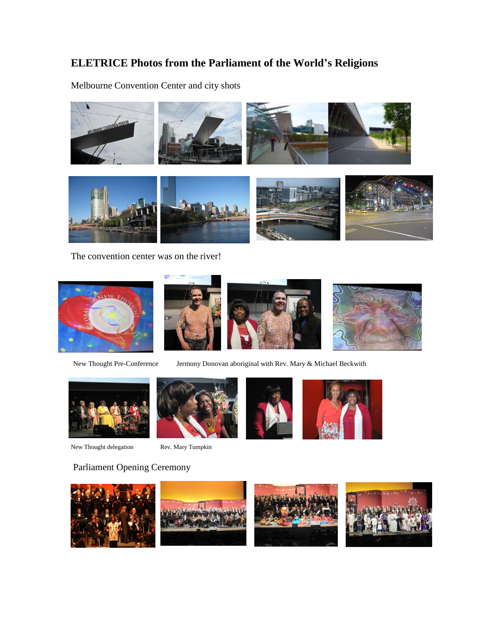## **ELETRICE Photos from the Parliament of the World's Religions**

Melbourne Convention Center and city shots



The convention center was on the river!





New Thought Pre-Conference Jermony Donovan aboriginal with Rev. Mary & Michael Beckwith



New Thought delegation Rev. Mary Tumpkin







## Parliament Opening Ceremony

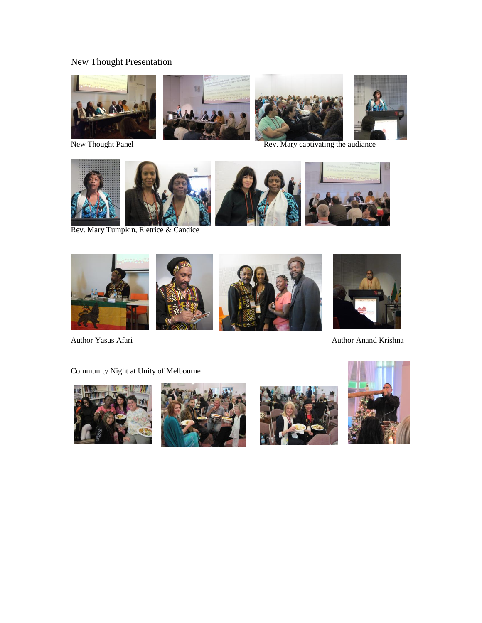## New Thought Presentation









New Thought Panel Rev. Mary captivating the audiance



Rev. Mary Tumpkin, Eletrice & Candice



Community Night at Unity of Melbourne







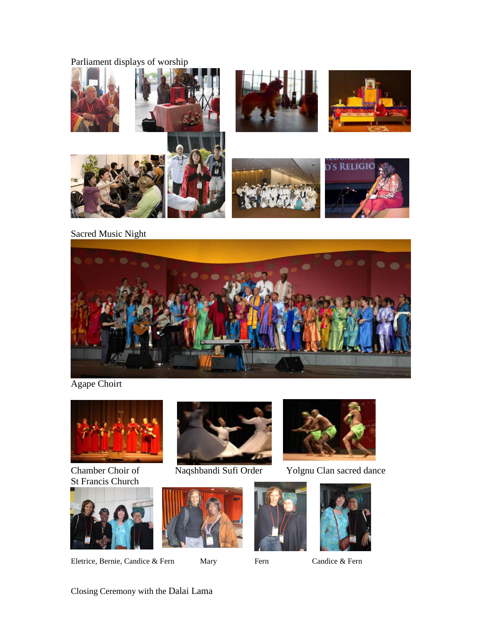## Parliament displays of worship



Sacred Music Night



Agape Choirt



St Francis Church



Eletrice, Bernie, Candice & Fern Mary Fern Candice & Fern









Chamber Choir of Naqshbandi Sufi Order Yolgnu Clan sacred dance